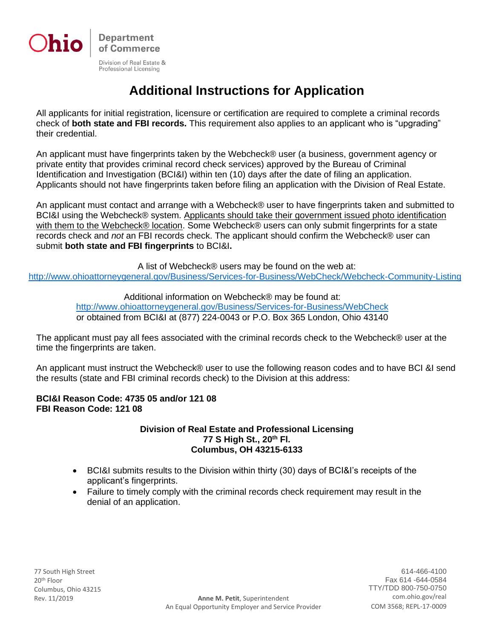

Professional Licensing

# **Additional Instructions for Application**

All applicants for initial registration, licensure or certification are required to complete a criminal records check of **both state and FBI records.** This requirement also applies to an applicant who is "upgrading" their credential.

An applicant must have fingerprints taken by the Webcheck® user (a business, government agency or private entity that provides criminal record check services) approved by the Bureau of Criminal Identification and Investigation (BCI&I) within ten (10) days after the date of filing an application. Applicants should not have fingerprints taken before filing an application with the Division of Real Estate.

An applicant must contact and arrange with a Webcheck® user to have fingerprints taken and submitted to BCI&I using the Webcheck® system. Applicants should take their government issued photo identification with them to the Webcheck® location. Some Webcheck® users can only submit fingerprints for a state records check and *not* an FBI records check. The applicant should confirm the Webcheck® user can submit **both state and FBI fingerprints** to BCI&I**.**

A list of Webcheck® users may be found on the web at:

<http://www.ohioattorneygeneral.gov/Business/Services-for-Business/WebCheck/Webcheck-Community-Listing>

Additional information on Webcheck® may be found at: <http://www.ohioattorneygeneral.gov/Business/Services-for-Business/WebCheck> or obtained from BCI&I at (877) 224-0043 or P.O. Box 365 London, Ohio 43140

The applicant must pay all fees associated with the criminal records check to the Webcheck® user at the time the fingerprints are taken.

An applicant must instruct the Webcheck® user to use the following reason codes and to have BCI &I send the results (state and FBI criminal records check) to the Division at this address:

## **BCI&I Reason Code: 4735 05 and/or 121 08 FBI Reason Code: 121 08**

### **Division of Real Estate and Professional Licensing 77 S High St., 20th Fl. Columbus, OH 43215-6133**

- BCI&I submits results to the Division within thirty (30) days of BCI&I's receipts of the applicant's fingerprints.
- Failure to timely comply with the criminal records check requirement may result in the denial of an application.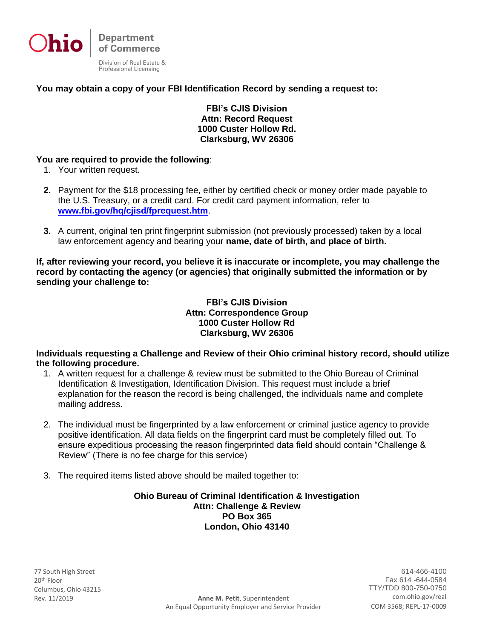

## **You may obtain a copy of your FBI Identification Record by sending a request to:**

**FBI's CJIS Division Attn: Record Request 1000 Custer Hollow Rd. Clarksburg, WV 26306**

### **You are required to provide the following**:

- 1. Your written request.
- **2.** Payment for the \$18 processing fee, either by certified check or money order made payable to the U.S. Treasury, or a credit card. For credit card payment information, refer to **[www.fbi.gov/hq/cjisd/fprequest.htm](http://www.fbi.gov/hq/cjisd/fprequest.htm)**.
- **3.** A current, original ten print fingerprint submission (not previously processed) taken by a local law enforcement agency and bearing your **name, date of birth, and place of birth.**

**If, after reviewing your record, you believe it is inaccurate or incomplete, you may challenge the record by contacting the agency (or agencies) that originally submitted the information or by sending your challenge to:**

> **FBI's CJIS Division Attn: Correspondence Group 1000 Custer Hollow Rd Clarksburg, WV 26306**

## **Individuals requesting a Challenge and Review of their Ohio criminal history record, should utilize the following procedure.**

- 1. A written request for a challenge & review must be submitted to the Ohio Bureau of Criminal Identification & Investigation, Identification Division. This request must include a brief explanation for the reason the record is being challenged, the individuals name and complete mailing address.
- 2. The individual must be fingerprinted by a law enforcement or criminal justice agency to provide positive identification. All data fields on the fingerprint card must be completely filled out. To ensure expeditious processing the reason fingerprinted data field should contain "Challenge & Review" (There is no fee charge for this service)
- 3. The required items listed above should be mailed together to:

**Ohio Bureau of Criminal Identification & Investigation Attn: Challenge & Review PO Box 365 London, Ohio 43140**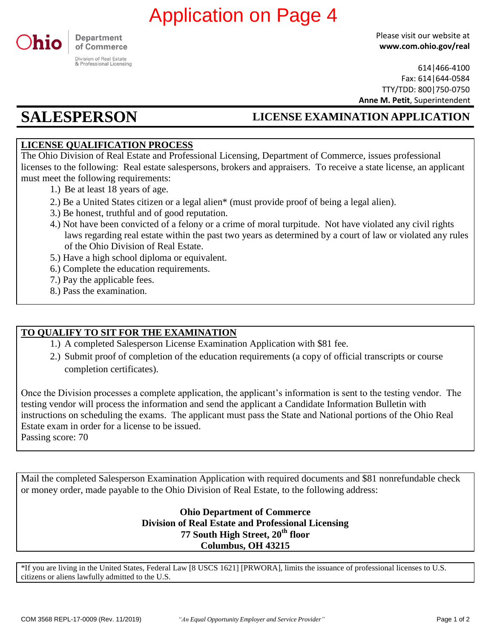

Please visit our website at **www.com.ohio.gov/real**

614|466-4100 Fax: 614|644-0584 TTY/TDD: 800|750-0750 **Anne M. Petit**, Superintendent

## **SALESPERSON LICENSE EXAMINATION APPLICATION**

## **LICENSE QUALIFICATION PROCESS**

The Ohio Division of Real Estate and Professional Licensing, Department of Commerce, issues professional licenses to the following: Real estate salespersons, brokers and appraisers. To receive a state license, an applicant must meet the following requirements:

- 1.) Be at least 18 years of age.
- 2.) Be a United States citizen or a legal alien\* (must provide proof of being a legal alien).
- 3.) Be honest, truthful and of good reputation.
- 4.) Not have been convicted of a felony or a crime of moral turpitude. Not have violated any civil rights laws regarding real estate within the past two years as determined by a court of law or violated any rules of the Ohio Division of Real Estate.
- 5.) Have a high school diploma or equivalent.
- 6.) Complete the education requirements.
- 7.) Pay the applicable fees.
- 8.) Pass the examination.

## **TO QUALIFY TO SIT FOR THE EXAMINATION**

- 1.) A completed Salesperson License Examination Application with \$81 fee.
- 2.) Submit proof of completion of the education requirements (a copy of official transcripts or course completion certificates).

Once the Division processes a complete application, the applicant's information is sent to the testing vendor. The testing vendor will process the information and send the applicant a Candidate Information Bulletin with instructions on scheduling the exams. The applicant must pass the State and National portions of the Ohio Real Estate exam in order for a license to be issued. Passing score: 70 **COM 16 FOREXTY (CALUATION ON PAGE 4**<br> **CONDRECTEST**<br> **CONDRECTEST**<br> **CONDRECTEST**<br> **CONDRECTEST**<br> **CONDRECTEST**<br> **CONDRECTEST**<br> **CONDRECTEST**<br> **CONDRECTEST**<br> **CONDRECTEST**<br> **CONDRECTEST**<br> **CONDRECTEST**<br> **CONDRECTEST**<br> **CO** 

Mail the completed Salesperson Examination Application with required documents and \$81 nonrefundable check or money order, made payable to the Ohio Division of Real Estate, to the following address:

> **Ohio Department of Commerce Division of Real Estate and Professional Licensing th 77 South High Street, 20 floor Columbus, OH 43215**

\*If you are living in the United States, Federal Law [8 USCS 1621] [PRWORA], limits the issuance of professional licenses to U.S. citizens or aliens lawfully admitted to the U.S.